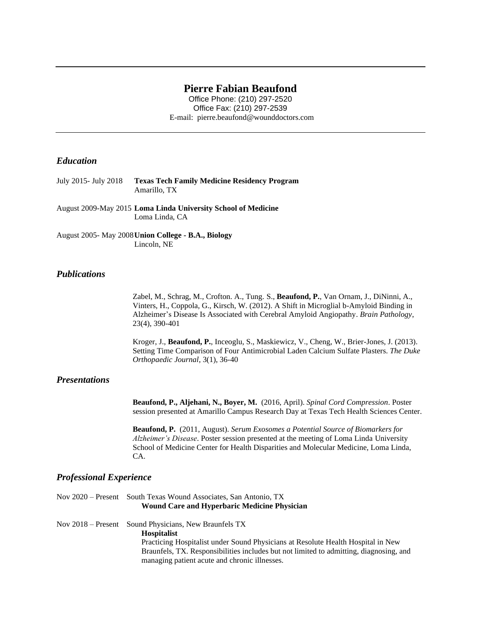## **Pierre Fabian Beaufond**

Office Phone: (210) 297-2520 Office Fax: (210) 297-2539 E-mail: pierre.beaufond@wounddoctors.com

# *Education*

| July 2015- July 2018 | <b>Texas Tech Family Medicine Residency Program</b> |
|----------------------|-----------------------------------------------------|
|                      | Amarillo. TX                                        |

August 2009-May 2015 **Loma Linda University School of Medicine**  Loma Linda, CA

August 2005- May 2008**Union College - B.A., Biology** Lincoln, NE

### *Publications*

Zabel, M., Schrag, M., Crofton. A., Tung. S., **Beaufond, P.**, Van Ornam, J., DiNinni, A., Vinters, H., Coppola, G., Kirsch, W. (2012). A Shift in Microglial b-Amyloid Binding in Alzheimer's Disease Is Associated with Cerebral Amyloid Angiopathy. *Brain Pathology*, 23(4), 390-401

Kroger, J., **Beaufond, P.**, Inceoglu, S., Maskiewicz, V., Cheng, W., Brier-Jones, J. (2013). Setting Time Comparison of Four Antimicrobial Laden Calcium Sulfate Plasters. *The Duke Orthopaedic Journal*, 3(1), 36-40

## *Presentations*

**Beaufond, P., Aljehani, N., Boyer, M.** (2016, April). *Spinal Cord Compression*. Poster session presented at Amarillo Campus Research Day at Texas Tech Health Sciences Center.

**Beaufond, P.** (2011, August). *Serum Exosomes a Potential Source of Biomarkers for Alzheimer's Disease*. Poster session presented at the meeting of Loma Linda University School of Medicine Center for Health Disparities and Molecular Medicine, Loma Linda, CA.

#### *Professional Experience*

Nov 2020 – Present South Texas Wound Associates, San Antonio, TX **Wound Care and Hyperbaric Medicine Physician**

Nov 2018 – Present Sound Physicians, New Braunfels TX **Hospitalist** Practicing Hospitalist under Sound Physicians at Resolute Health Hospital in New Braunfels, TX. Responsibilities includes but not limited to admitting, diagnosing, and managing patient acute and chronic illnesses.